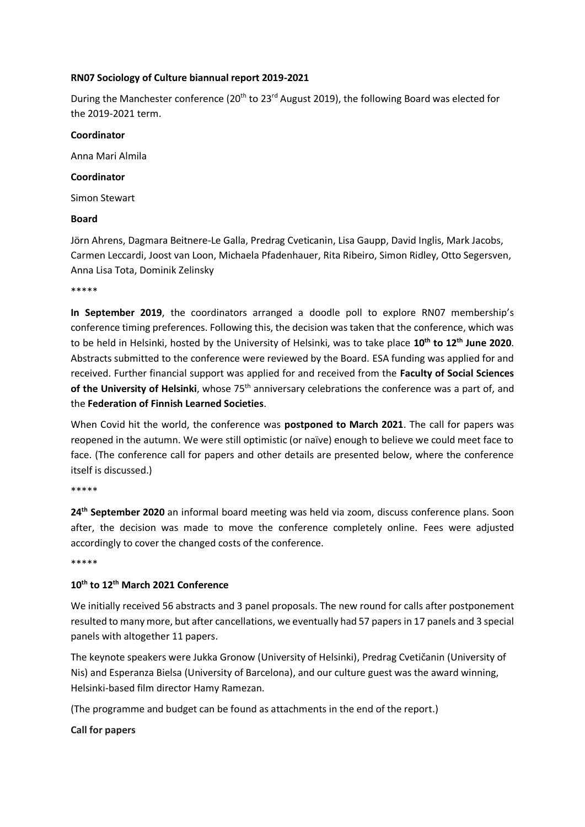#### **RN07 Sociology of Culture biannual report 2019-2021**

During the Manchester conference (20<sup>th</sup> to 23<sup>rd</sup> August 2019), the following Board was elected for the 2019-2021 term.

#### **Coordinator**

Anna Mari Almila

#### **Coordinator**

Simon Stewart

#### **Board**

Jörn Ahrens, Dagmara Beitnere-Le Galla, Predrag Cveticanin, Lisa Gaupp, David Inglis, Mark Jacobs, Carmen Leccardi, Joost van Loon, Michaela Pfadenhauer, Rita Ribeiro, Simon Ridley, Otto Segersven, Anna Lisa Tota, Dominik Zelinsky

\*\*\*\*\*

**In September 2019**, the coordinators arranged a doodle poll to explore RN07 membership's conference timing preferences. Following this, the decision was taken that the conference, which was to be held in Helsinki, hosted by the University of Helsinki, was to take place **10th to 12th June 2020**. Abstracts submitted to the conference were reviewed by the Board. ESA funding was applied for and received. Further financial support was applied for and received from the **Faculty of Social Sciences**  of the University of Helsinki, whose 75<sup>th</sup> anniversary celebrations the conference was a part of, and the **Federation of Finnish Learned Societies**.

When Covid hit the world, the conference was **postponed to March 2021**. The call for papers was reopened in the autumn. We were still optimistic (or naïve) enough to believe we could meet face to face. (The conference call for papers and other details are presented below, where the conference itself is discussed.)

\*\*\*\*\*

**24th September 2020** an informal board meeting was held via zoom, discuss conference plans. Soon after, the decision was made to move the conference completely online. Fees were adjusted accordingly to cover the changed costs of the conference.

\*\*\*\*\*

#### **10th to 12th March 2021 Conference**

We initially received 56 abstracts and 3 panel proposals. The new round for calls after postponement resulted to many more, but after cancellations, we eventually had 57 papers in 17 panels and 3 special panels with altogether 11 papers.

The keynote speakers were Jukka Gronow (University of Helsinki), Predrag Cvetičanin (University of Nis) and Esperanza Bielsa (University of Barcelona), and our culture guest was the award winning, Helsinki-based film director Hamy Ramezan.

(The programme and budget can be found as attachments in the end of the report.)

**Call for papers**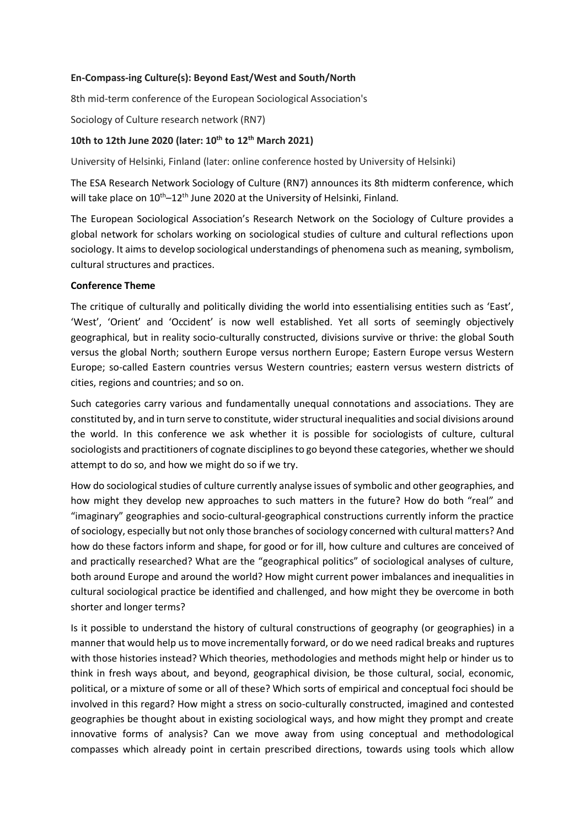#### **En-Compass-ing Culture(s): Beyond East/West and South/North**

8th mid-term conference of the European Sociological Association's

Sociology of Culture research network (RN7)

#### **10th to 12th June 2020 (later: 10th to 12th March 2021)**

University of Helsinki, Finland (later: online conference hosted by University of Helsinki)

The ESA Research Network Sociology of Culture (RN7) announces its 8th midterm conference, which will take place on 10<sup>th</sup>-12<sup>th</sup> June 2020 at the University of Helsinki, Finland.

The European Sociological Association's Research Network on the Sociology of Culture provides a global network for scholars working on sociological studies of culture and cultural reflections upon sociology. It aims to develop sociological understandings of phenomena such as meaning, symbolism, cultural structures and practices.

#### **Conference Theme**

The critique of culturally and politically dividing the world into essentialising entities such as 'East', 'West', 'Orient' and 'Occident' is now well established. Yet all sorts of seemingly objectively geographical, but in reality socio-culturally constructed, divisions survive or thrive: the global South versus the global North; southern Europe versus northern Europe; Eastern Europe versus Western Europe; so-called Eastern countries versus Western countries; eastern versus western districts of cities, regions and countries; and so on.

Such categories carry various and fundamentally unequal connotations and associations. They are constituted by, and in turn serve to constitute, wider structural inequalities and social divisions around the world. In this conference we ask whether it is possible for sociologists of culture, cultural sociologists and practitioners of cognate disciplines to go beyond these categories, whether we should attempt to do so, and how we might do so if we try.

How do sociological studies of culture currently analyse issues of symbolic and other geographies, and how might they develop new approaches to such matters in the future? How do both "real" and "imaginary" geographies and socio-cultural-geographical constructions currently inform the practice of sociology, especially but not only those branches of sociology concerned with cultural matters? And how do these factors inform and shape, for good or for ill, how culture and cultures are conceived of and practically researched? What are the "geographical politics" of sociological analyses of culture, both around Europe and around the world? How might current power imbalances and inequalities in cultural sociological practice be identified and challenged, and how might they be overcome in both shorter and longer terms?

Is it possible to understand the history of cultural constructions of geography (or geographies) in a manner that would help us to move incrementally forward, or do we need radical breaks and ruptures with those histories instead? Which theories, methodologies and methods might help or hinder us to think in fresh ways about, and beyond, geographical division, be those cultural, social, economic, political, or a mixture of some or all of these? Which sorts of empirical and conceptual foci should be involved in this regard? How might a stress on socio-culturally constructed, imagined and contested geographies be thought about in existing sociological ways, and how might they prompt and create innovative forms of analysis? Can we move away from using conceptual and methodological compasses which already point in certain prescribed directions, towards using tools which allow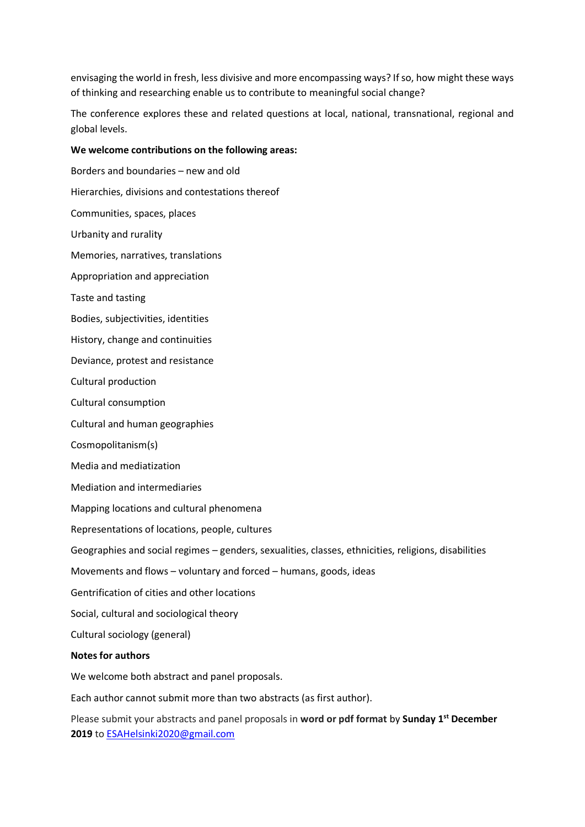envisaging the world in fresh, less divisive and more encompassing ways? If so, how might these ways of thinking and researching enable us to contribute to meaningful social change?

The conference explores these and related questions at local, national, transnational, regional and global levels.

#### **We welcome contributions on the following areas:**

Borders and boundaries – new and old Hierarchies, divisions and contestations thereof Communities, spaces, places Urbanity and rurality Memories, narratives, translations Appropriation and appreciation Taste and tasting Bodies, subjectivities, identities History, change and continuities Deviance, protest and resistance Cultural production Cultural consumption Cultural and human geographies Cosmopolitanism(s) Media and mediatization Mediation and intermediaries Mapping locations and cultural phenomena Representations of locations, people, cultures Geographies and social regimes – genders, sexualities, classes, ethnicities, religions, disabilities Movements and flows – voluntary and forced – humans, goods, ideas Gentrification of cities and other locations Social, cultural and sociological theory Cultural sociology (general) **Notes for authors** We welcome both abstract and panel proposals. Each author cannot submit more than two abstracts (as first author). Please submit your abstracts and panel proposals in **word or pdf format** by **Sunday 1st December** 

**2019** to [ESAHelsinki2020@gmail.com](mailto:ESAHelsinki2020@gmail.com)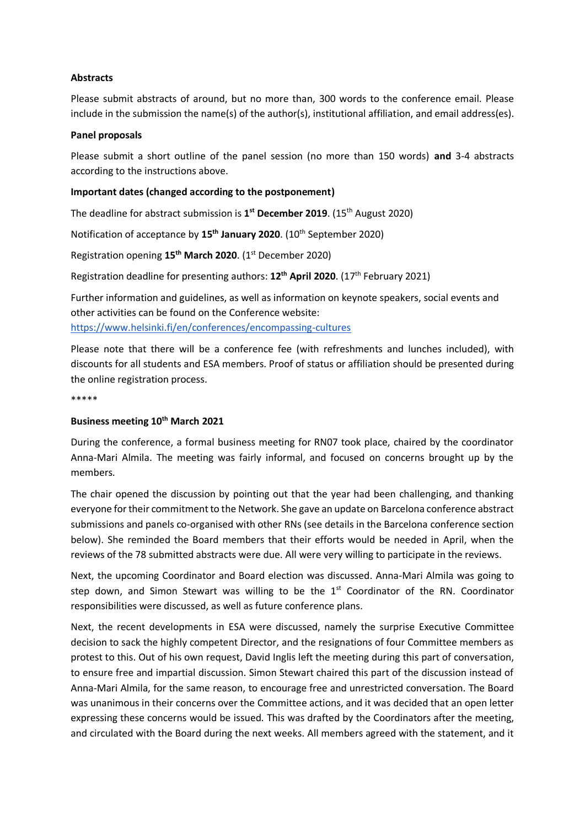#### **Abstracts**

Please submit abstracts of around, but no more than, 300 words to the conference email. Please include in the submission the name(s) of the author(s), institutional affiliation, and email address(es).

#### **Panel proposals**

Please submit a short outline of the panel session (no more than 150 words) **and** 3-4 abstracts according to the instructions above.

#### **Important dates (changed according to the postponement)**

The deadline for abstract submission is **1 st December 2019**. (15th August 2020)

Notification of acceptance by **15th January 2020**. (10th September 2020)

Registration opening **15th March 2020**. (1st December 2020)

Registration deadline for presenting authors: **12th April 2020**. (17th February 2021)

Further information and guidelines, as well as information on keynote speakers, social events and other activities can be found on the Conference website: <https://www.helsinki.fi/en/conferences/encompassing-cultures>

Please note that there will be a conference fee (with refreshments and lunches included), with discounts for all students and ESA members. Proof of status or affiliation should be presented during the online registration process.

\*\*\*\*\*

#### **Business meeting 10th March 2021**

During the conference, a formal business meeting for RN07 took place, chaired by the coordinator Anna-Mari Almila. The meeting was fairly informal, and focused on concerns brought up by the members.

The chair opened the discussion by pointing out that the year had been challenging, and thanking everyone for their commitment to the Network. She gave an update on Barcelona conference abstract submissions and panels co-organised with other RNs (see details in the Barcelona conference section below). She reminded the Board members that their efforts would be needed in April, when the reviews of the 78 submitted abstracts were due. All were very willing to participate in the reviews.

Next, the upcoming Coordinator and Board election was discussed. Anna-Mari Almila was going to step down, and Simon Stewart was willing to be the  $1<sup>st</sup>$  Coordinator of the RN. Coordinator responsibilities were discussed, as well as future conference plans.

Next, the recent developments in ESA were discussed, namely the surprise Executive Committee decision to sack the highly competent Director, and the resignations of four Committee members as protest to this. Out of his own request, David Inglis left the meeting during this part of conversation, to ensure free and impartial discussion. Simon Stewart chaired this part of the discussion instead of Anna-Mari Almila, for the same reason, to encourage free and unrestricted conversation. The Board was unanimous in their concerns over the Committee actions, and it was decided that an open letter expressing these concerns would be issued. This was drafted by the Coordinators after the meeting, and circulated with the Board during the next weeks. All members agreed with the statement, and it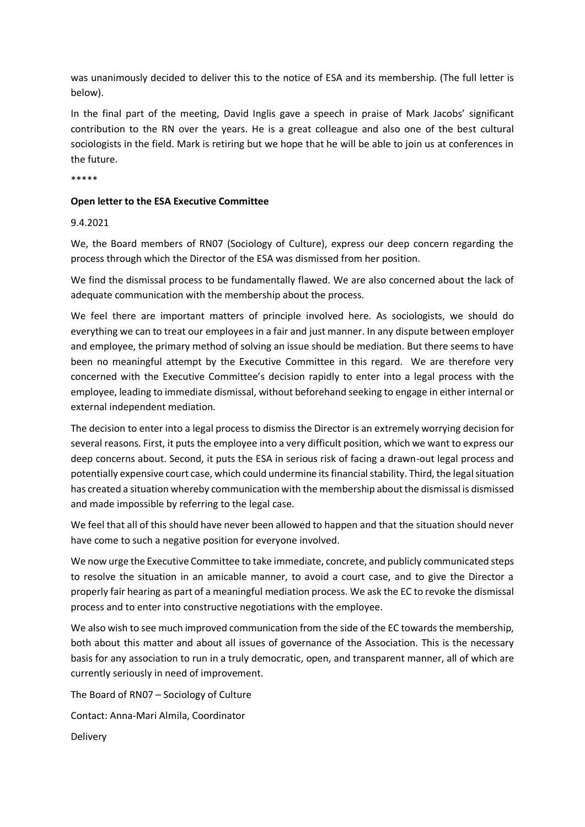was unanimously decided to deliver this to the notice of ESA and its membership. (The full letter is below).

In the final part of the meeting, David Inglis gave a speech in praise of Mark Jacobs' significant contribution to the RN over the years. He is a great colleague and also one of the best cultural sociologists in the field. Mark is retiring but we hope that he will be able to join us at conferences in the future.

\*\*\*\*\*

#### **Open letter to the ESA Executive Committee**

#### 9.4.2021

We, the Board members of RN07 (Sociology of Culture), express our deep concern regarding the process through which the Director of the ESA was dismissed from her position.

We find the dismissal process to be fundamentally flawed. We are also concerned about the lack of adequate communication with the membership about the process.

We feel there are important matters of principle involved here. As sociologists, we should do everything we can to treat our employees in a fair and just manner. In any dispute between employer and employee, the primary method of solving an issue should be mediation. But there seems to have been no meaningful attempt by the Executive Committee in this regard. We are therefore very concerned with the Executive Committee's decision rapidly to enter into a legal process with the employee, leading to immediate dismissal, without beforehand seeking to engage in either internal or external independent mediation.

The decision to enter into a legal process to dismiss the Director is an extremely worrying decision for several reasons. First, it puts the employee into a very difficult position, which we want to express our deep concerns about. Second, it puts the ESA in serious risk of facing a drawn-out legal process and potentially expensive court case, which could undermine its financial stability. Third, the legal situation has created a situation whereby communication with the membership about the dismissal is dismissed and made impossible by referring to the legal case.

We feel that all of this should have never been allowed to happen and that the situation should never have come to such a negative position for everyone involved.

We now urge the Executive Committee to take immediate, concrete, and publicly communicated steps to resolve the situation in an amicable manner, to avoid a court case, and to give the Director a properly fair hearing as part of a meaningful mediation process. We ask the EC to revoke the dismissal process and to enter into constructive negotiations with the employee.

We also wish to see much improved communication from the side of the EC towards the membership, both about this matter and about all issues of governance of the Association. This is the necessary basis for any association to run in a truly democratic, open, and transparent manner, all of which are currently seriously in need of improvement.

The Board of RN07 – Sociology of Culture Contact: Anna-Mari Almila, Coordinator Delivery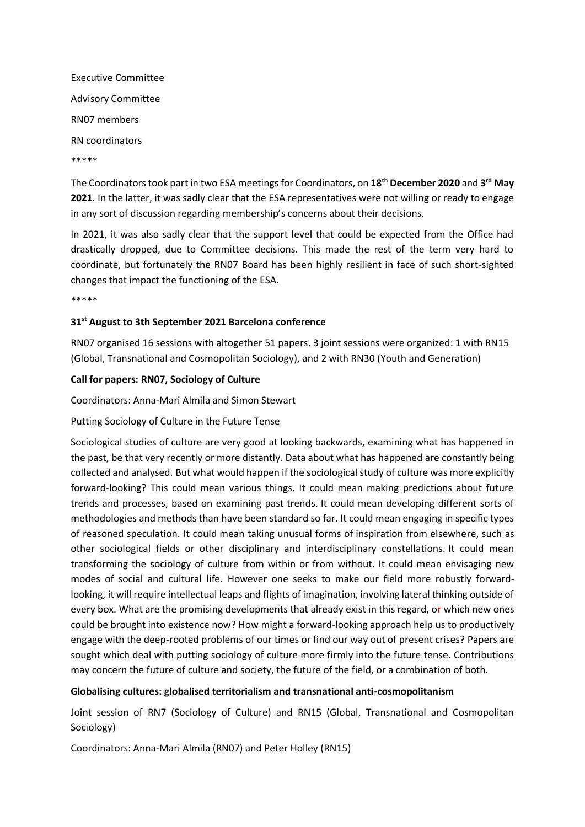Executive Committee Advisory Committee RN07 members RN coordinators \*\*\*\*\*

The Coordinators took part in two ESA meetings for Coordinators, on **18th December 2020** and **3 rd May 2021**. In the latter, it was sadly clear that the ESA representatives were not willing or ready to engage in any sort of discussion regarding membership's concerns about their decisions.

In 2021, it was also sadly clear that the support level that could be expected from the Office had drastically dropped, due to Committee decisions. This made the rest of the term very hard to coordinate, but fortunately the RN07 Board has been highly resilient in face of such short-sighted changes that impact the functioning of the ESA.

\*\*\*\*\*

#### **31st August to 3th September 2021 Barcelona conference**

RN07 organised 16 sessions with altogether 51 papers. 3 joint sessions were organized: 1 with RN15 (Global, Transnational and Cosmopolitan Sociology), and 2 with RN30 (Youth and Generation)

#### **Call for papers: RN07, Sociology of Culture**

Coordinators: Anna-Mari Almila and Simon Stewart

#### Putting Sociology of Culture in the Future Tense

Sociological studies of culture are very good at looking backwards, examining what has happened in the past, be that very recently or more distantly. Data about what has happened are constantly being collected and analysed. But what would happen if the sociological study of culture was more explicitly forward-looking? This could mean various things. It could mean making predictions about future trends and processes, based on examining past trends. It could mean developing different sorts of methodologies and methods than have been standard so far. It could mean engaging in specific types of reasoned speculation. It could mean taking unusual forms of inspiration from elsewhere, such as other sociological fields or other disciplinary and interdisciplinary constellations. It could mean transforming the sociology of culture from within or from without. It could mean envisaging new modes of social and cultural life. However one seeks to make our field more robustly forwardlooking, it will require intellectual leaps and flights of imagination, involving lateral thinking outside of every box. What are the promising developments that already exist in this regard, or which new ones could be brought into existence now? How might a forward-looking approach help us to productively engage with the deep-rooted problems of our times or find our way out of present crises? Papers are sought which deal with putting sociology of culture more firmly into the future tense. Contributions may concern the future of culture and society, the future of the field, or a combination of both.

#### **Globalising cultures: globalised territorialism and transnational anti-cosmopolitanism**

Joint session of RN7 (Sociology of Culture) and RN15 (Global, Transnational and Cosmopolitan Sociology)

Coordinators: Anna-Mari Almila (RN07) and Peter Holley (RN15)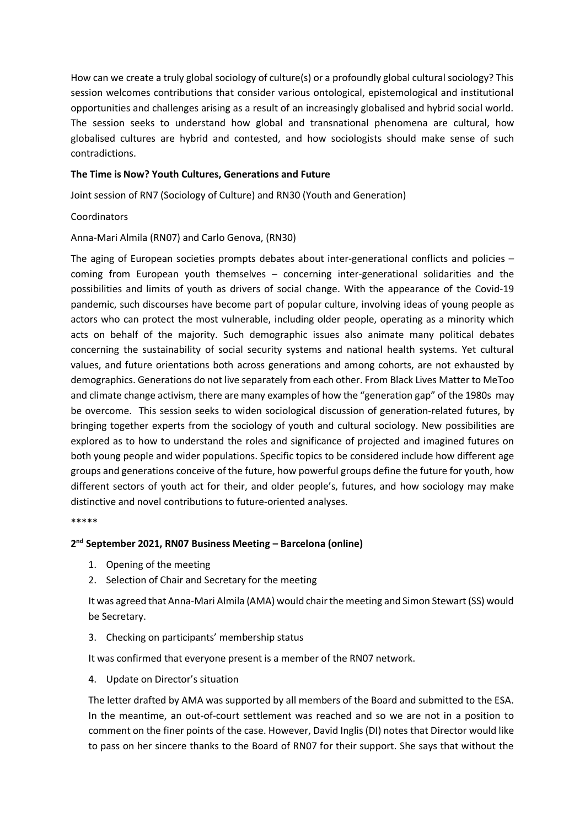How can we create a truly global sociology of culture(s) or a profoundly global cultural sociology? This session welcomes contributions that consider various ontological, epistemological and institutional opportunities and challenges arising as a result of an increasingly globalised and hybrid social world. The session seeks to understand how global and transnational phenomena are cultural, how globalised cultures are hybrid and contested, and how sociologists should make sense of such contradictions.

#### **The Time is Now? Youth Cultures, Generations and Future**

Joint session of RN7 (Sociology of Culture) and RN30 (Youth and Generation)

Coordinators

Anna-Mari Almila (RN07) and Carlo Genova, (RN30)

The aging of European societies prompts debates about inter-generational conflicts and policies – coming from European youth themselves – concerning inter-generational solidarities and the possibilities and limits of youth as drivers of social change. With the appearance of the Covid-19 pandemic, such discourses have become part of popular culture, involving ideas of young people as actors who can protect the most vulnerable, including older people, operating as a minority which acts on behalf of the majority. Such demographic issues also animate many political debates concerning the sustainability of social security systems and national health systems. Yet cultural values, and future orientations both across generations and among cohorts, are not exhausted by demographics. Generations do not live separately from each other. From Black Lives Matter to MeToo and climate change activism, there are many examples of how the "generation gap" of the 1980s may be overcome. This session seeks to widen sociological discussion of generation-related futures, by bringing together experts from the sociology of youth and cultural sociology. New possibilities are explored as to how to understand the roles and significance of projected and imagined futures on both young people and wider populations. Specific topics to be considered include how different age groups and generations conceive of the future, how powerful groups define the future for youth, how different sectors of youth act for their, and older people's, futures, and how sociology may make distinctive and novel contributions to future-oriented analyses.

\*\*\*\*\*

#### **2 nd September 2021, RN07 Business Meeting – Barcelona (online)**

- 1. Opening of the meeting
- 2. Selection of Chair and Secretary for the meeting

It was agreed that Anna-Mari Almila (AMA) would chair the meeting and Simon Stewart (SS) would be Secretary.

3. Checking on participants' membership status

It was confirmed that everyone present is a member of the RN07 network.

4. Update on Director's situation

The letter drafted by AMA was supported by all members of the Board and submitted to the ESA. In the meantime, an out-of-court settlement was reached and so we are not in a position to comment on the finer points of the case. However, David Inglis (DI) notes that Director would like to pass on her sincere thanks to the Board of RN07 for their support. She says that without the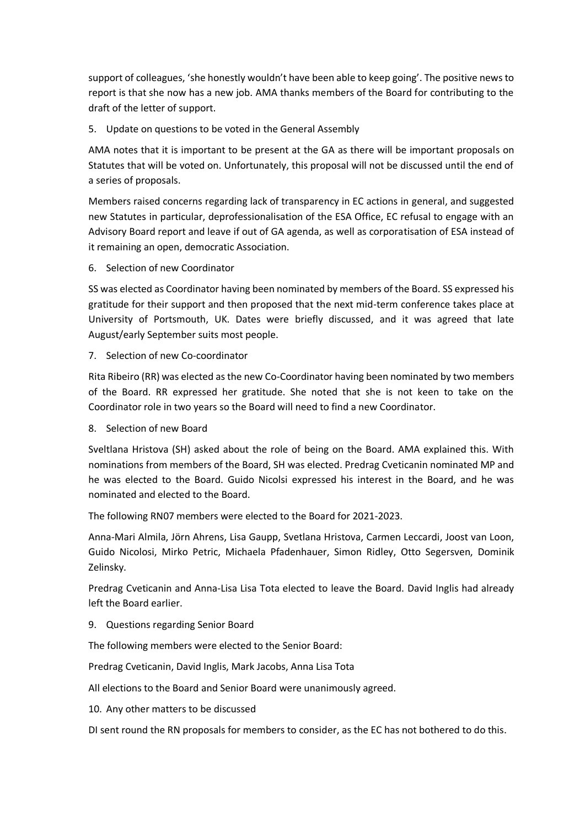support of colleagues, 'she honestly wouldn't have been able to keep going'. The positive news to report is that she now has a new job. AMA thanks members of the Board for contributing to the draft of the letter of support.

5. Update on questions to be voted in the General Assembly

AMA notes that it is important to be present at the GA as there will be important proposals on Statutes that will be voted on. Unfortunately, this proposal will not be discussed until the end of a series of proposals.

Members raised concerns regarding lack of transparency in EC actions in general, and suggested new Statutes in particular, deprofessionalisation of the ESA Office, EC refusal to engage with an Advisory Board report and leave if out of GA agenda, as well as corporatisation of ESA instead of it remaining an open, democratic Association.

6. Selection of new Coordinator

SS was elected as Coordinator having been nominated by members of the Board. SS expressed his gratitude for their support and then proposed that the next mid-term conference takes place at University of Portsmouth, UK. Dates were briefly discussed, and it was agreed that late August/early September suits most people.

7. Selection of new Co-coordinator

Rita Ribeiro (RR) was elected as the new Co-Coordinator having been nominated by two members of the Board. RR expressed her gratitude. She noted that she is not keen to take on the Coordinator role in two years so the Board will need to find a new Coordinator.

8. Selection of new Board

Sveltlana Hristova (SH) asked about the role of being on the Board. AMA explained this. With nominations from members of the Board, SH was elected. Predrag Cveticanin nominated MP and he was elected to the Board. Guido Nicolsi expressed his interest in the Board, and he was nominated and elected to the Board.

The following RN07 members were elected to the Board for 2021-2023.

Anna-Mari Almila, Jörn Ahrens, Lisa Gaupp, Svetlana Hristova, Carmen Leccardi, Joost van Loon, Guido Nicolosi, Mirko Petric, Michaela Pfadenhauer, Simon Ridley, Otto Segersven, Dominik Zelinsky.

Predrag Cveticanin and Anna-Lisa Lisa Tota elected to leave the Board. David Inglis had already left the Board earlier.

9. Questions regarding Senior Board

The following members were elected to the Senior Board:

Predrag Cveticanin, David Inglis, Mark Jacobs, Anna Lisa Tota

All elections to the Board and Senior Board were unanimously agreed.

10. Any other matters to be discussed

DI sent round the RN proposals for members to consider, as the EC has not bothered to do this.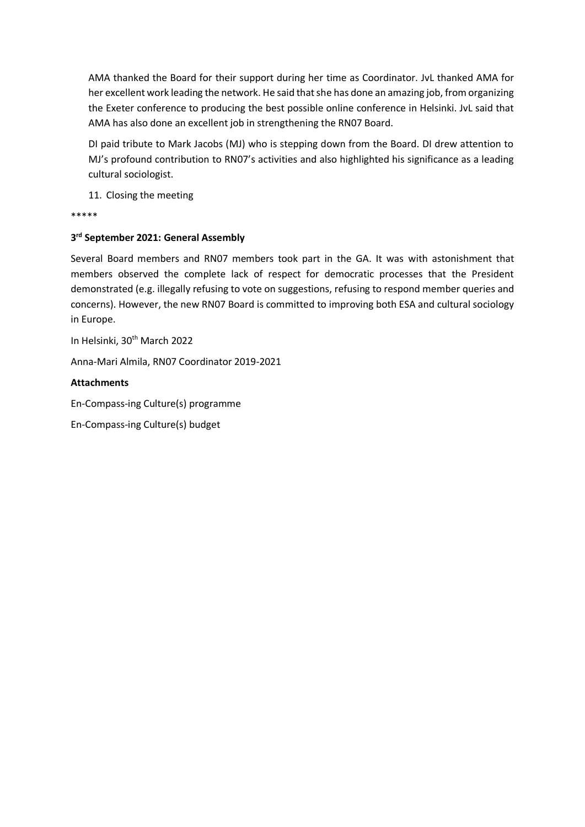AMA thanked the Board for their support during her time as Coordinator. JvL thanked AMA for her excellent work leading the network. He said that she has done an amazing job, from organizing the Exeter conference to producing the best possible online conference in Helsinki. JvL said that AMA has also done an excellent job in strengthening the RN07 Board.

DI paid tribute to Mark Jacobs (MJ) who is stepping down from the Board. DI drew attention to MJ's profound contribution to RN07's activities and also highlighted his significance as a leading cultural sociologist.

11. Closing the meeting

\*\*\*\*\*

## **3 rd September 2021: General Assembly**

Several Board members and RN07 members took part in the GA. It was with astonishment that members observed the complete lack of respect for democratic processes that the President demonstrated (e.g. illegally refusing to vote on suggestions, refusing to respond member queries and concerns). However, the new RN07 Board is committed to improving both ESA and cultural sociology in Europe.

In Helsinki, 30th March 2022

Anna-Mari Almila, RN07 Coordinator 2019-2021

#### **Attachments**

En-Compass-ing Culture(s) programme

En-Compass-ing Culture(s) budget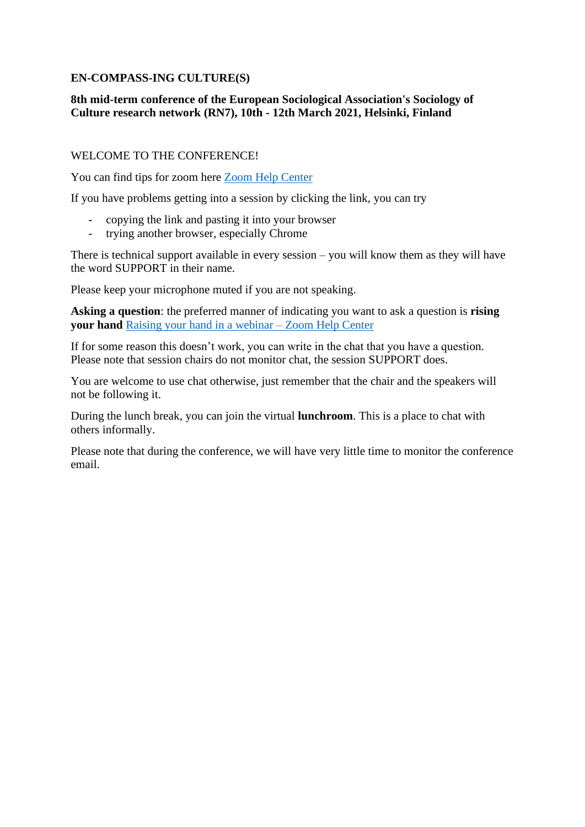## **EN-COMPASS-ING CULTURE(S)**

## **8th mid-term conference of the European Sociological Association's Sociology of Culture research network (RN7), 10th - 12th March 2021, Helsinki, Finland**

## WELCOME TO THE CONFERENCE!

You can find tips for zoom here [Zoom Help Center](https://support.zoom.us/hc/en-us)

If you have problems getting into a session by clicking the link, you can try

- copying the link and pasting it into your browser
- trying another browser, especially Chrome

There is technical support available in every session – you will know them as they will have the word SUPPORT in their name.

Please keep your microphone muted if you are not speaking.

**Asking a question**: the preferred manner of indicating you want to ask a question is **rising your hand** [Raising your hand in a webinar –](https://support.zoom.us/hc/en-us/articles/205566129-Raising-your-hand-in-a-webinar) Zoom Help Center

If for some reason this doesn't work, you can write in the chat that you have a question. Please note that session chairs do not monitor chat, the session SUPPORT does.

You are welcome to use chat otherwise, just remember that the chair and the speakers will not be following it.

During the lunch break, you can join the virtual **lunchroom**. This is a place to chat with others informally.

Please note that during the conference, we will have very little time to monitor the conference email.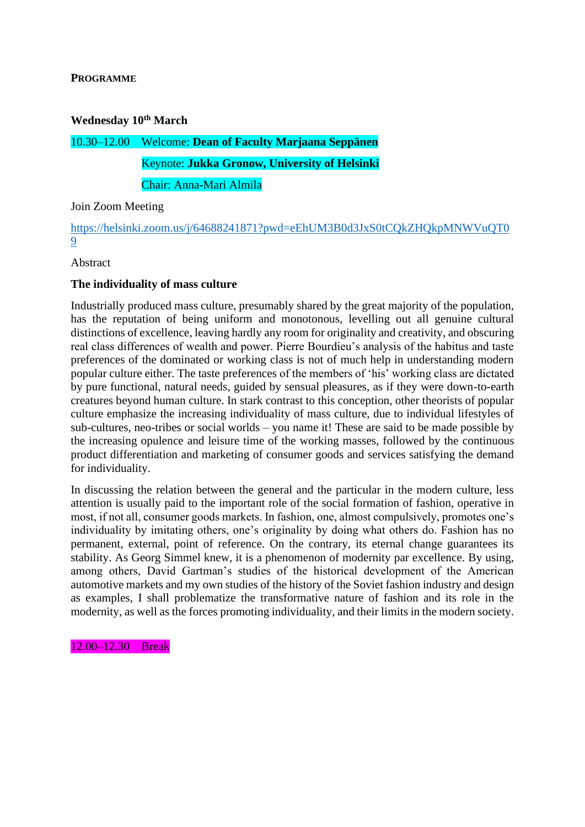## **PROGRAMME**

### **Wednesday 10th March**

# 10.30–12.00 Welcome: **Dean of Faculty Marjaana Seppänen** Keynote: **Jukka Gronow, University of Helsinki**

Chair: Anna-Mari Almila

## Join Zoom Meeting

[https://helsinki.zoom.us/j/64688241871?pwd=eEhUM3B0d3JxS0tCQkZHQkpMNWVuQT0](https://helsinki.zoom.us/j/64688241871?pwd=eEhUM3B0d3JxS0tCQkZHQkpMNWVuQT09) [9](https://helsinki.zoom.us/j/64688241871?pwd=eEhUM3B0d3JxS0tCQkZHQkpMNWVuQT09)

Abstract

## **The individuality of mass culture**

Industrially produced mass culture, presumably shared by the great majority of the population, has the reputation of being uniform and monotonous, levelling out all genuine cultural distinctions of excellence, leaving hardly any room for originality and creativity, and obscuring real class differences of wealth and power. Pierre Bourdieu's analysis of the habitus and taste preferences of the dominated or working class is not of much help in understanding modern popular culture either. The taste preferences of the members of 'his' working class are dictated by pure functional, natural needs, guided by sensual pleasures, as if they were down-to-earth creatures beyond human culture. In stark contrast to this conception, other theorists of popular culture emphasize the increasing individuality of mass culture, due to individual lifestyles of sub-cultures, neo-tribes or social worlds – you name it! These are said to be made possible by the increasing opulence and leisure time of the working masses, followed by the continuous product differentiation and marketing of consumer goods and services satisfying the demand for individuality.

In discussing the relation between the general and the particular in the modern culture, less attention is usually paid to the important role of the social formation of fashion, operative in most, if not all, consumer goods markets. In fashion, one, almost compulsively, promotes one's individuality by imitating others, one's originality by doing what others do. Fashion has no permanent, external, point of reference. On the contrary, its eternal change guarantees its stability. As Georg Simmel knew, it is a phenomenon of modernity par excellence. By using, among others, David Gartman's studies of the historical development of the American automotive markets and my own studies of the history of the Soviet fashion industry and design as examples, I shall problematize the transformative nature of fashion and its role in the modernity, as well as the forces promoting individuality, and their limits in the modern society.

12.00–12.30 Break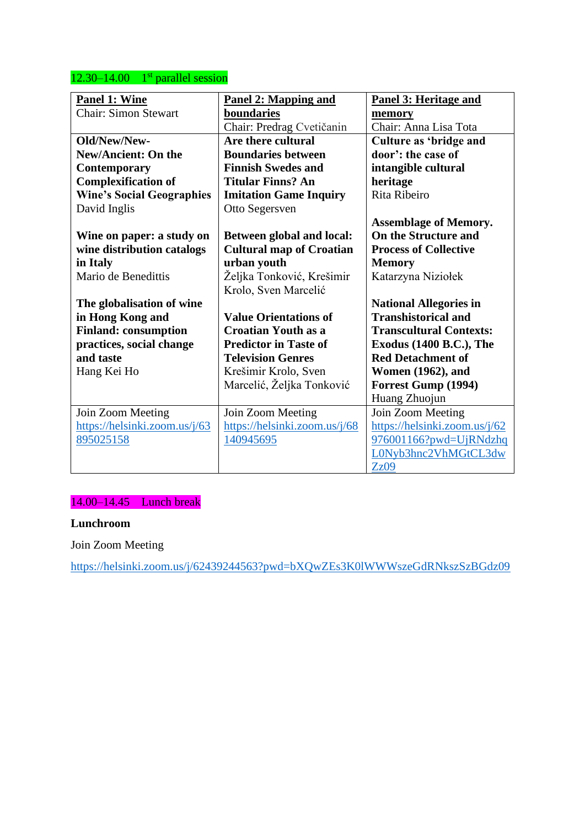## $12.30 - 14.00$  1st parallel session

| Panel 1: Wine                    | <b>Panel 2: Mapping and</b>     | Panel 3: Heritage and          |  |
|----------------------------------|---------------------------------|--------------------------------|--|
| <b>Chair: Simon Stewart</b>      | boundaries                      | memory                         |  |
|                                  | Chair: Predrag Cvetičanin       | Chair: Anna Lisa Tota          |  |
| Old/New/New-                     | Are there cultural              | Culture as 'bridge and         |  |
| <b>New/Ancient: On the</b>       | <b>Boundaries between</b>       | door': the case of             |  |
| <b>Contemporary</b>              | <b>Finnish Swedes and</b>       | intangible cultural            |  |
| <b>Complexification of</b>       | <b>Titular Finns? An</b>        | heritage                       |  |
| <b>Wine's Social Geographies</b> | <b>Imitation Game Inquiry</b>   | Rita Ribeiro                   |  |
| David Inglis                     | Otto Segersven                  |                                |  |
|                                  |                                 | <b>Assemblage of Memory.</b>   |  |
| Wine on paper: a study on        | Between global and local:       | On the Structure and           |  |
| wine distribution catalogs       | <b>Cultural map of Croatian</b> | <b>Process of Collective</b>   |  |
| in Italy                         | urban youth                     | <b>Memory</b>                  |  |
| Mario de Benedittis              | Željka Tonković, Krešimir       | Katarzyna Niziołek             |  |
|                                  | Krolo, Sven Marcelić            |                                |  |
| The globalisation of wine        |                                 | <b>National Allegories in</b>  |  |
| in Hong Kong and                 | <b>Value Orientations of</b>    | <b>Transhistorical and</b>     |  |
| <b>Finland: consumption</b>      | <b>Croatian Youth as a</b>      | <b>Transcultural Contexts:</b> |  |
| practices, social change         | <b>Predictor in Taste of</b>    | <b>Exodus (1400 B.C.), The</b> |  |
| and taste                        | <b>Television Genres</b>        | <b>Red Detachment of</b>       |  |
| Hang Kei Ho                      | Krešimir Krolo, Sven            | <b>Women</b> (1962), and       |  |
|                                  | Marcelić, Željka Tonković       | Forrest Gump (1994)            |  |
|                                  |                                 | Huang Zhuojun                  |  |
| Join Zoom Meeting                | Join Zoom Meeting               | Join Zoom Meeting              |  |
| https://helsinki.zoom.us/j/63    | https://helsinki.zoom.us/j/68   | https://helsinki.zoom.us/j/62  |  |
| 895025158                        | 140945695                       | 976001166?pwd=UjRNdzhq         |  |
|                                  |                                 | L0Nyb3hnc2VhMGtCL3dw           |  |
|                                  |                                 | Zz09                           |  |

## 14.00–14.45 Lunch break

## **Lunchroom**

Join Zoom Meeting

<https://helsinki.zoom.us/j/62439244563?pwd=bXQwZEs3K0lWWWszeGdRNkszSzBGdz09>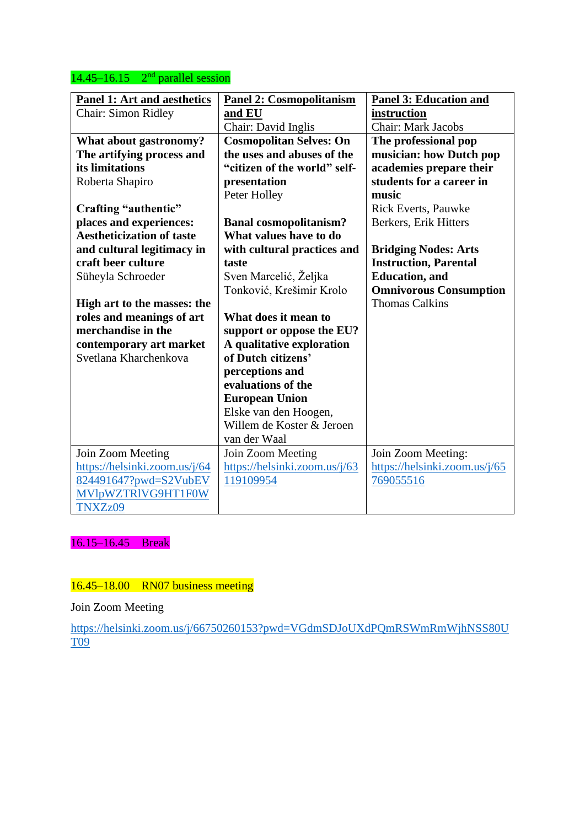## $14.45 - 16.15$   $2<sup>nd</sup>$  parallel session

| <b>Panel 1: Art and aesthetics</b> | <b>Panel 2: Cosmopolitanism</b> | <b>Panel 3: Education and</b> |
|------------------------------------|---------------------------------|-------------------------------|
| <b>Chair: Simon Ridley</b>         | and EU                          | instruction                   |
|                                    | Chair: David Inglis             | <b>Chair: Mark Jacobs</b>     |
| What about gastronomy?             | <b>Cosmopolitan Selves: On</b>  | The professional pop          |
| The artifying process and          | the uses and abuses of the      | musician: how Dutch pop       |
| its limitations                    | "citizen of the world" self-    | academies prepare their       |
| Roberta Shapiro                    | presentation                    | students for a career in      |
|                                    | Peter Holley                    | music                         |
| Crafting "authentic"               |                                 | <b>Rick Everts, Pauwke</b>    |
| places and experiences:            | <b>Banal cosmopolitanism?</b>   | Berkers, Erik Hitters         |
| <b>Aestheticization of taste</b>   | What values have to do          |                               |
| and cultural legitimacy in         | with cultural practices and     | <b>Bridging Nodes: Arts</b>   |
| craft beer culture                 | taste                           | <b>Instruction, Parental</b>  |
| Süheyla Schroeder                  | Sven Marcelić, Željka           | <b>Education</b> , and        |
|                                    | Tonković, Krešimir Krolo        | <b>Omnivorous Consumption</b> |
| High art to the masses: the        |                                 | <b>Thomas Calkins</b>         |
| roles and meanings of art          | What does it mean to            |                               |
| merchandise in the                 | support or oppose the EU?       |                               |
| contemporary art market            | A qualitative exploration       |                               |
| Svetlana Kharchenkova              | of Dutch citizens'              |                               |
|                                    | perceptions and                 |                               |
|                                    | evaluations of the              |                               |
|                                    | <b>European Union</b>           |                               |
|                                    | Elske van den Hoogen,           |                               |
|                                    | Willem de Koster & Jeroen       |                               |
|                                    | van der Waal                    |                               |
| Join Zoom Meeting                  | Join Zoom Meeting               | Join Zoom Meeting:            |
| https://helsinki.zoom.us/j/64      | https://helsinki.zoom.us/j/63   | https://helsinki.zoom.us/j/65 |
| 824491647?pwd=S2VubEV              | 119109954                       | 769055516                     |
| MVlpWZTRIVG9HT1F0W                 |                                 |                               |
| TNXZz09                            |                                 |                               |

16.15–16.45 Break

# 16.45–18.00 RN07 business meeting

Join Zoom Meeting

[https://helsinki.zoom.us/j/66750260153?pwd=VGdmSDJoUXdPQmRSWmRmWjhNSS80U](https://helsinki.zoom.us/j/66750260153?pwd=VGdmSDJoUXdPQmRSWmRmWjhNSS80UT09) [T09](https://helsinki.zoom.us/j/66750260153?pwd=VGdmSDJoUXdPQmRSWmRmWjhNSS80UT09)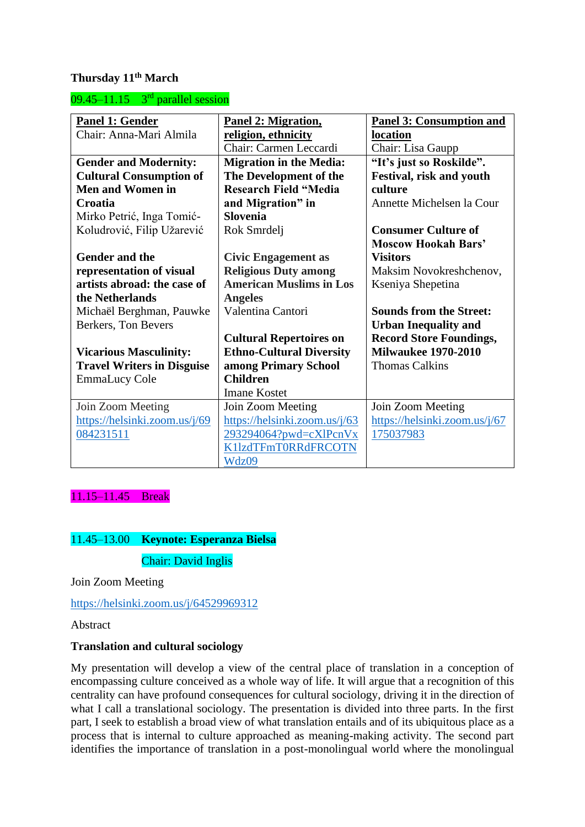## **Thursday 11th March**

 $09.45 - 11.15$  3<sup>rd</sup> parallel session

| <b>Panel 1: Gender</b>            | Panel 2: Migration,             | <b>Panel 3: Consumption and</b> |
|-----------------------------------|---------------------------------|---------------------------------|
| Chair: Anna-Mari Almila           | religion, ethnicity             | location                        |
|                                   | Chair: Carmen Leccardi          | Chair: Lisa Gaupp               |
| <b>Gender and Modernity:</b>      | <b>Migration in the Media:</b>  | "It's just so Roskilde".        |
| <b>Cultural Consumption of</b>    | The Development of the          | <b>Festival, risk and youth</b> |
| <b>Men and Women in</b>           | <b>Research Field "Media</b>    | culture                         |
| Croatia                           | and Migration" in               | Annette Michelsen la Cour       |
| Mirko Petrić, Inga Tomić-         | <b>Slovenia</b>                 |                                 |
| Koludrović, Filip Užarević        | Rok Smrdelj                     | <b>Consumer Culture of</b>      |
|                                   |                                 | <b>Moscow Hookah Bars'</b>      |
| <b>Gender and the</b>             | <b>Civic Engagement as</b>      | <b>Visitors</b>                 |
| representation of visual          | <b>Religious Duty among</b>     | Maksim Novokreshchenov,         |
| artists abroad: the case of       | <b>American Muslims in Los</b>  | Kseniya Shepetina               |
| the Netherlands                   | <b>Angeles</b>                  |                                 |
| Michaël Berghman, Pauwke          | Valentina Cantori               | <b>Sounds from the Street:</b>  |
| Berkers, Ton Bevers               |                                 | <b>Urban Inequality and</b>     |
|                                   | <b>Cultural Repertoires on</b>  | <b>Record Store Foundings,</b>  |
| <b>Vicarious Masculinity:</b>     | <b>Ethno-Cultural Diversity</b> | <b>Milwaukee 1970-2010</b>      |
| <b>Travel Writers in Disguise</b> | among Primary School            | <b>Thomas Calkins</b>           |
| <b>EmmaLucy Cole</b>              | <b>Children</b>                 |                                 |
|                                   | <b>Imane Kostet</b>             |                                 |
| Join Zoom Meeting                 | Join Zoom Meeting               | Join Zoom Meeting               |
| https://helsinki.zoom.us/j/69     | https://helsinki.zoom.us/j/63   | https://helsinki.zoom.us/j/67   |
| 084231511                         | 293294064?pwd=cXlPcnVx          | 175037983                       |
|                                   | K11zdTFmT0RRdFRCOTN             |                                 |
|                                   | Wdz09                           |                                 |

11.15–11.45 Break

# 11.45–13.00 **Keynote: Esperanza Bielsa** Chair: David Inglis

Join Zoom Meeting

<https://helsinki.zoom.us/j/64529969312>

Abstract

#### **Translation and cultural sociology**

My presentation will develop a view of the central place of translation in a conception of encompassing culture conceived as a whole way of life. It will argue that a recognition of this centrality can have profound consequences for cultural sociology, driving it in the direction of what I call a translational sociology. The presentation is divided into three parts. In the first part, I seek to establish a broad view of what translation entails and of its ubiquitous place as a process that is internal to culture approached as meaning-making activity. The second part identifies the importance of translation in a post-monolingual world where the monolingual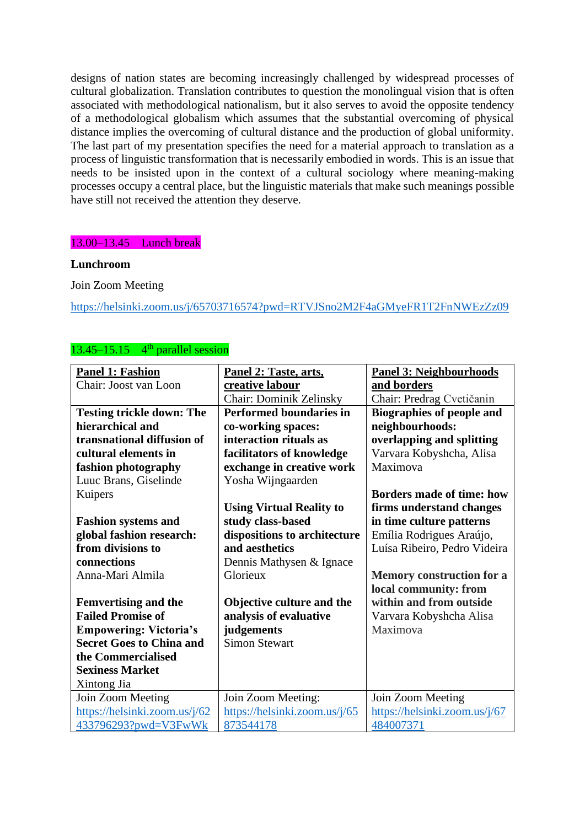designs of nation states are becoming increasingly challenged by widespread processes of cultural globalization. Translation contributes to question the monolingual vision that is often associated with methodological nationalism, but it also serves to avoid the opposite tendency of a methodological globalism which assumes that the substantial overcoming of physical distance implies the overcoming of cultural distance and the production of global uniformity. The last part of my presentation specifies the need for a material approach to translation as a process of linguistic transformation that is necessarily embodied in words. This is an issue that needs to be insisted upon in the context of a cultural sociology where meaning-making processes occupy a central place, but the linguistic materials that make such meanings possible have still not received the attention they deserve.

## 13.00–13.45 Lunch break

#### **Lunchroom**

Join Zoom Meeting

<https://helsinki.zoom.us/j/65703716574?pwd=RTVJSno2M2F4aGMyeFR1T2FnNWEzZz09>

## $13.45 - 15.15$  4<sup>th</sup> parallel session

| <b>Panel 1: Fashion</b>          | Panel 2: Taste, arts,           | <b>Panel 3: Neighbourhoods</b>   |  |  |
|----------------------------------|---------------------------------|----------------------------------|--|--|
| Chair: Joost van Loon            | creative labour                 | and borders                      |  |  |
|                                  | Chair: Dominik Zelinsky         | Chair: Predrag Cvetičanin        |  |  |
| <b>Testing trickle down: The</b> | <b>Performed boundaries in</b>  | <b>Biographies of people and</b> |  |  |
| hierarchical and                 | co-working spaces:              | neighbourhoods:                  |  |  |
| transnational diffusion of       | interaction rituals as          | overlapping and splitting        |  |  |
| cultural elements in             | facilitators of knowledge       | Varvara Kobyshcha, Alisa         |  |  |
| fashion photography              | exchange in creative work       | Maximova                         |  |  |
| Luuc Brans, Giselinde            | Yosha Wijngaarden               |                                  |  |  |
| Kuipers                          |                                 | <b>Borders made of time: how</b> |  |  |
|                                  | <b>Using Virtual Reality to</b> | firms understand changes         |  |  |
| <b>Fashion systems and</b>       | study class-based               | in time culture patterns         |  |  |
| global fashion research:         | dispositions to architecture    | Emília Rodrigues Araújo,         |  |  |
| from divisions to                | and aesthetics                  | Luísa Ribeiro, Pedro Videira     |  |  |
| connections                      | Dennis Mathysen & Ignace        |                                  |  |  |
| Anna-Mari Almila                 | Glorieux                        | <b>Memory construction for a</b> |  |  |
|                                  |                                 | local community: from            |  |  |
| <b>Femvertising and the</b>      | Objective culture and the       | within and from outside          |  |  |
| <b>Failed Promise of</b>         | analysis of evaluative          | Varvara Kobyshcha Alisa          |  |  |
| <b>Empowering: Victoria's</b>    | judgements                      | Maximova                         |  |  |
| <b>Secret Goes to China and</b>  | <b>Simon Stewart</b>            |                                  |  |  |
| the Commercialised               |                                 |                                  |  |  |
| <b>Sexiness Market</b>           |                                 |                                  |  |  |
| Xintong Jia                      |                                 |                                  |  |  |
| Join Zoom Meeting                | Join Zoom Meeting:              | Join Zoom Meeting                |  |  |
| https://helsinki.zoom.us/j/62    | https://helsinki.zoom.us/j/65   | https://helsinki.zoom.us/j/67    |  |  |
| 433796293?pwd=V3FwWk             | 873544178                       | 484007371                        |  |  |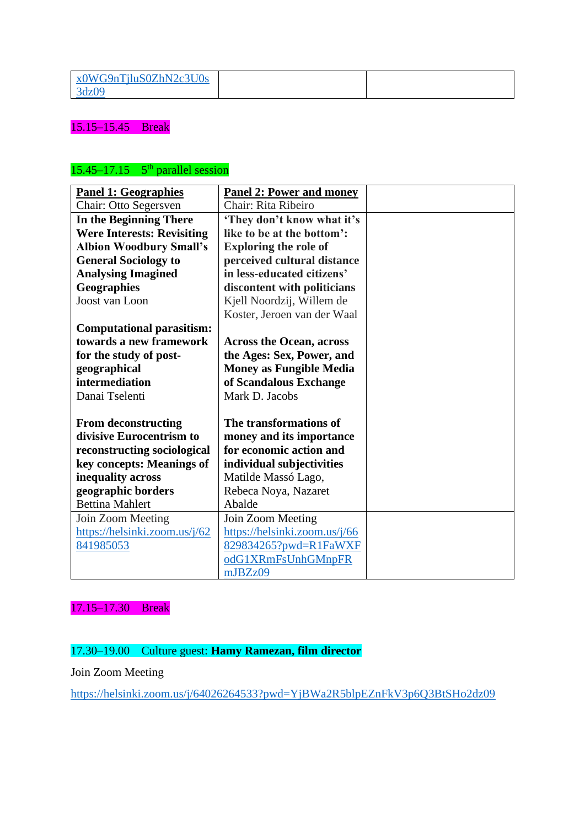| x0WG9nTjluS0ZhN2c3U0s |  |
|-----------------------|--|
| 3 <sub>dz</sub> 09    |  |

## 15.15–15.45 Break

### $15.45 - 17.15$  5<sup>th</sup> parallel session

| <b>Panel 1: Geographies</b>       | <b>Panel 2: Power and money</b> |  |
|-----------------------------------|---------------------------------|--|
| Chair: Otto Segersven             | Chair: Rita Ribeiro             |  |
| In the Beginning There            | 'They don't know what it's      |  |
| <b>Were Interests: Revisiting</b> | like to be at the bottom':      |  |
| <b>Albion Woodbury Small's</b>    | <b>Exploring the role of</b>    |  |
| <b>General Sociology to</b>       | perceived cultural distance     |  |
| <b>Analysing Imagined</b>         | in less-educated citizens'      |  |
| <b>Geographies</b>                | discontent with politicians     |  |
| Joost van Loon                    | Kjell Noordzij, Willem de       |  |
|                                   | Koster, Jeroen van der Waal     |  |
| <b>Computational parasitism:</b>  |                                 |  |
| towards a new framework           | <b>Across the Ocean, across</b> |  |
| for the study of post-            | the Ages: Sex, Power, and       |  |
| geographical                      | <b>Money as Fungible Media</b>  |  |
| intermediation                    | of Scandalous Exchange          |  |
| Danai Tselenti                    | Mark D. Jacobs                  |  |
|                                   |                                 |  |
| <b>From deconstructing</b>        | The transformations of          |  |
| divisive Eurocentrism to          | money and its importance        |  |
| reconstructing sociological       | for economic action and         |  |
| key concepts: Meanings of         | individual subjectivities       |  |
| inequality across                 | Matilde Massó Lago,             |  |
| geographic borders                | Rebeca Noya, Nazaret            |  |
| <b>Bettina Mahlert</b>            | Abalde                          |  |
| Join Zoom Meeting                 | Join Zoom Meeting               |  |
| https://helsinki.zoom.us/j/62     | https://helsinki.zoom.us/j/66   |  |
| 841985053                         | 829834265?pwd=R1FaWXF           |  |
|                                   | odG1XRmFsUnhGMnpFR              |  |
|                                   | mJBZz09                         |  |

## 17.15–17.30 Break

## 17.30–19.00 Culture guest: **Hamy Ramezan, film director**

Join Zoom Meeting

<https://helsinki.zoom.us/j/64026264533?pwd=YjBWa2R5blpEZnFkV3p6Q3BtSHo2dz09>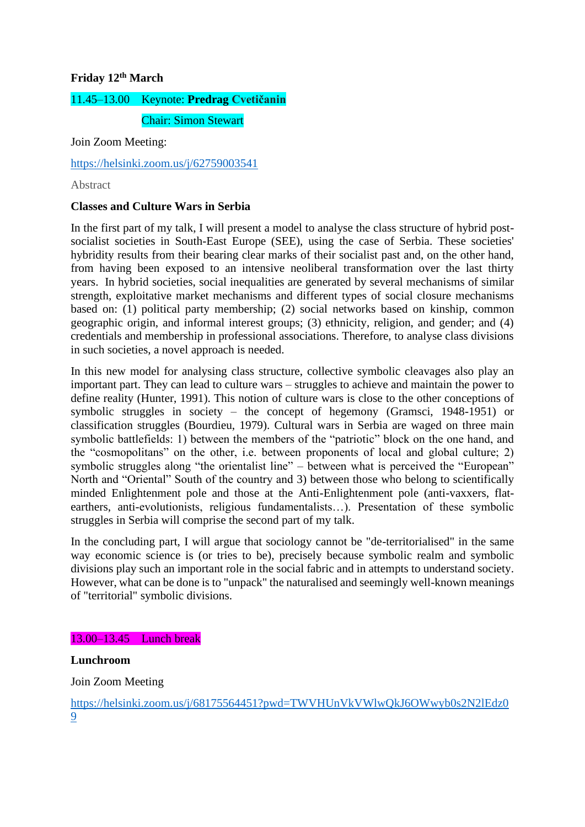## **Friday 12th March**

# 11.45–13.00 Keynote: **Predrag Cvetičanin**

Chair: Simon Stewart

Join Zoom Meeting:

<https://helsinki.zoom.us/j/62759003541>

Abstract

## **Classes and Culture Wars in Serbia**

In the first part of my talk, I will present a model to analyse the class structure of hybrid postsocialist societies in South-East Europe (SEE), using the case of Serbia. These societies' hybridity results from their bearing clear marks of their socialist past and, on the other hand, from having been exposed to an intensive neoliberal transformation over the last thirty years. In hybrid societies, social inequalities are generated by several mechanisms of similar strength, exploitative market mechanisms and different types of social closure mechanisms based on: (1) political party membership; (2) social networks based on kinship, common geographic origin, and informal interest groups; (3) ethnicity, religion, and gender; and (4) credentials and membership in professional associations. Therefore, to analyse class divisions in such societies, a novel approach is needed.

In this new model for analysing class structure, collective symbolic cleavages also play an important part. They can lead to culture wars – struggles to achieve and maintain the power to define reality (Hunter, 1991). This notion of culture wars is close to the other conceptions of symbolic struggles in society – the concept of hegemony (Gramsci, 1948-1951) or classification struggles (Bourdieu, 1979). Cultural wars in Serbia are waged on three main symbolic battlefields: 1) between the members of the "patriotic" block on the one hand, and the "cosmopolitans" on the other, i.e. between proponents of local and global culture; 2) symbolic struggles along "the orientalist line" – between what is perceived the "European" North and "Oriental" South of the country and 3) between those who belong to scientifically minded Enlightenment pole and those at the Anti-Enlightenment pole (anti-vaxxers, flatearthers, anti-evolutionists, religious fundamentalists…). Presentation of these symbolic struggles in Serbia will comprise the second part of my talk.

In the concluding part, I will argue that sociology cannot be "de-territorialised" in the same way economic science is (or tries to be), precisely because symbolic realm and symbolic divisions play such an important role in the social fabric and in attempts to understand society. However, what can be done is to "unpack" the naturalised and seemingly well-known meanings of "territorial" symbolic divisions.

#### 13.00–13.45 Lunch break

#### **Lunchroom**

Join Zoom Meeting

[https://helsinki.zoom.us/j/68175564451?pwd=TWVHUnVkVWlwQkJ6OWwyb0s2N2lEdz0](https://helsinki.zoom.us/j/68175564451?pwd=TWVHUnVkVWlwQkJ6OWwyb0s2N2lEdz09) [9](https://helsinki.zoom.us/j/68175564451?pwd=TWVHUnVkVWlwQkJ6OWwyb0s2N2lEdz09)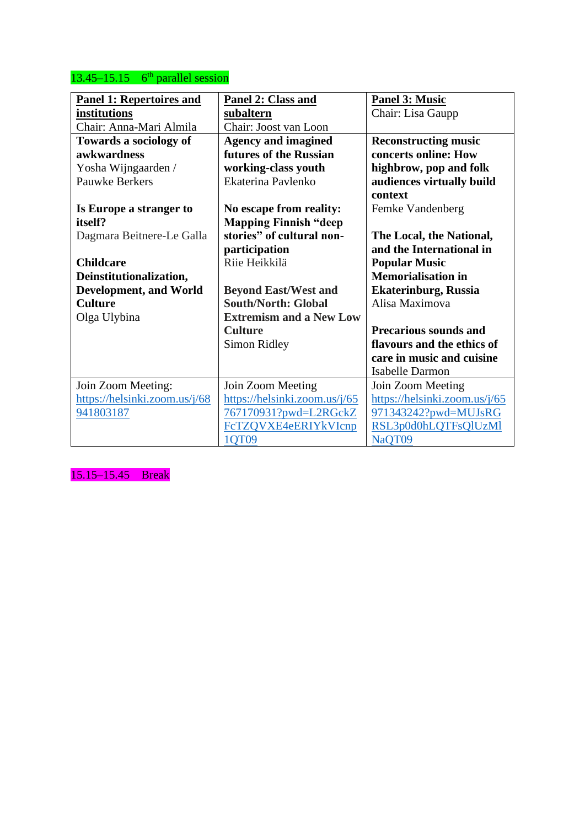## $13.45 - 15.15$  6<sup>th</sup> parallel session

| <b>Panel 1: Repertoires and</b> | Panel 3: Music<br><b>Panel 2: Class and</b> |                               |  |  |  |
|---------------------------------|---------------------------------------------|-------------------------------|--|--|--|
| institutions                    | subaltern                                   | Chair: Lisa Gaupp             |  |  |  |
| Chair: Anna-Mari Almila         | Chair: Joost van Loon                       |                               |  |  |  |
| Towards a sociology of          | <b>Agency and imagined</b>                  | <b>Reconstructing music</b>   |  |  |  |
| awkwardness                     | futures of the Russian                      | concerts online: How          |  |  |  |
| Yosha Wijngaarden /             | working-class youth                         | highbrow, pop and folk        |  |  |  |
| <b>Pauwke Berkers</b>           | Ekaterina Pavlenko                          | audiences virtually build     |  |  |  |
|                                 |                                             | context                       |  |  |  |
| Is Europe a stranger to         | No escape from reality:                     | Femke Vandenberg              |  |  |  |
| itself?                         | <b>Mapping Finnish "deep</b>                |                               |  |  |  |
| Dagmara Beitnere-Le Galla       | stories" of cultural non-                   | The Local, the National,      |  |  |  |
|                                 | participation                               | and the International in      |  |  |  |
| <b>Childcare</b>                | Riie Heikkilä                               | <b>Popular Music</b>          |  |  |  |
| Deinstitutionalization,         |                                             | <b>Memorialisation in</b>     |  |  |  |
| <b>Development, and World</b>   | <b>Beyond East/West and</b>                 | <b>Ekaterinburg, Russia</b>   |  |  |  |
| <b>Culture</b>                  | <b>South/North: Global</b>                  | Alisa Maximova                |  |  |  |
| Olga Ulybina                    | <b>Extremism and a New Low</b>              |                               |  |  |  |
|                                 | <b>Culture</b>                              | <b>Precarious sounds and</b>  |  |  |  |
|                                 | Simon Ridley                                | flavours and the ethics of    |  |  |  |
|                                 |                                             | care in music and cuisine     |  |  |  |
|                                 |                                             | <b>Isabelle Darmon</b>        |  |  |  |
| Join Zoom Meeting:              | Join Zoom Meeting                           | Join Zoom Meeting             |  |  |  |
| https://helsinki.zoom.us/j/68   | https://helsinki.zoom.us/j/65               | https://helsinki.zoom.us/j/65 |  |  |  |
| 941803187                       | 767170931?pwd=L2RGckZ                       | 971343242?pwd=MUJsRG          |  |  |  |
|                                 | FcTZQVXE4eERIYkVIcnp                        | RSL3p0d0hLQTFsQlUzMl          |  |  |  |
|                                 | 1QT09                                       | NaQT09                        |  |  |  |

15.15–15.45 Break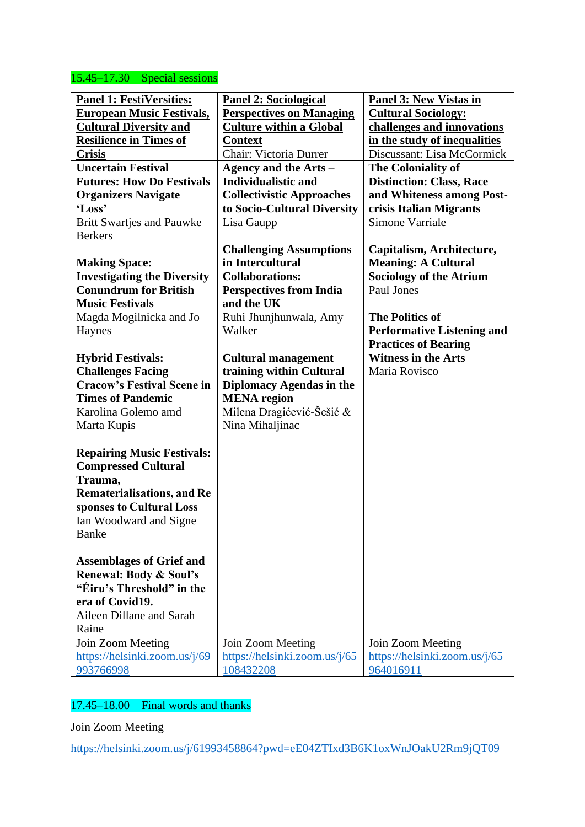## 15.45–17.30 Special sessions

| <b>Panel 1: FestiVersities:</b><br><u>European Music Festivals,</u><br><b>Cultural Diversity and</b><br><b>Resilience in Times of</b><br><b>Crisis</b><br><b>Uncertain Festival</b><br><b>Futures: How Do Festivals</b><br><b>Organizers Navigate</b><br>'Loss'<br><b>Britt Swartjes and Pauwke</b><br><b>Berkers</b><br><b>Making Space:</b><br><b>Investigating the Diversity</b><br><b>Conundrum for British</b><br><b>Music Festivals</b><br>Magda Mogilnicka and Jo<br>Haynes<br><b>Hybrid Festivals:</b><br><b>Challenges Facing</b><br><b>Cracow's Festival Scene in</b><br><b>Times of Pandemic</b><br>Karolina Golemo amd<br>Marta Kupis<br><b>Repairing Music Festivals:</b><br><b>Compressed Cultural</b><br>Trauma,<br><b>Rematerialisations, and Re</b><br>sponses to Cultural Loss<br>Ian Woodward and Signe<br><b>Banke</b><br><b>Assemblages of Grief and</b><br><b>Renewal: Body &amp; Soul's</b> | <b>Panel 2: Sociological</b><br><b>Perspectives on Managing</b><br><b>Culture within a Global</b><br><b>Context</b><br>Chair: Victoria Durrer<br>Agency and the Arts –<br><b>Individualistic and</b><br><b>Collectivistic Approaches</b><br>to Socio-Cultural Diversity<br>Lisa Gaupp<br><b>Challenging Assumptions</b><br>in Intercultural<br><b>Collaborations:</b><br><b>Perspectives from India</b><br>and the UK<br>Ruhi Jhunjhunwala, Amy<br>Walker<br><b>Cultural management</b><br>training within Cultural<br>Diplomacy Agendas in the<br><b>MENA</b> region<br>Milena Dragićević-Šešić &<br>Nina Mihaljinac | <b>Panel 3: New Vistas in</b><br><b>Cultural Sociology:</b><br>challenges and innovations<br>in the study of inequalities<br>Discussant: Lisa McCormick<br>The Coloniality of<br><b>Distinction: Class, Race</b><br>and Whiteness among Post-<br>crisis Italian Migrants<br><b>Simone Varriale</b><br>Capitalism, Architecture,<br><b>Meaning: A Cultural</b><br><b>Sociology of the Atrium</b><br>Paul Jones<br><b>The Politics of</b><br><b>Performative Listening and</b><br><b>Practices of Bearing</b><br><b>Witness in the Arts</b><br>Maria Rovisco |
|--------------------------------------------------------------------------------------------------------------------------------------------------------------------------------------------------------------------------------------------------------------------------------------------------------------------------------------------------------------------------------------------------------------------------------------------------------------------------------------------------------------------------------------------------------------------------------------------------------------------------------------------------------------------------------------------------------------------------------------------------------------------------------------------------------------------------------------------------------------------------------------------------------------------|-----------------------------------------------------------------------------------------------------------------------------------------------------------------------------------------------------------------------------------------------------------------------------------------------------------------------------------------------------------------------------------------------------------------------------------------------------------------------------------------------------------------------------------------------------------------------------------------------------------------------|------------------------------------------------------------------------------------------------------------------------------------------------------------------------------------------------------------------------------------------------------------------------------------------------------------------------------------------------------------------------------------------------------------------------------------------------------------------------------------------------------------------------------------------------------------|
| "Éiru's Threshold" in the<br>era of Covid19.<br>Aileen Dillane and Sarah<br>Raine                                                                                                                                                                                                                                                                                                                                                                                                                                                                                                                                                                                                                                                                                                                                                                                                                                  |                                                                                                                                                                                                                                                                                                                                                                                                                                                                                                                                                                                                                       |                                                                                                                                                                                                                                                                                                                                                                                                                                                                                                                                                            |
| Join Zoom Meeting<br>https://helsinki.zoom.us/j/69<br>993766998                                                                                                                                                                                                                                                                                                                                                                                                                                                                                                                                                                                                                                                                                                                                                                                                                                                    | Join Zoom Meeting<br>https://helsinki.zoom.us/j/65<br>108432208                                                                                                                                                                                                                                                                                                                                                                                                                                                                                                                                                       | Join Zoom Meeting<br>https://helsinki.zoom.us/j/65<br>964016911                                                                                                                                                                                                                                                                                                                                                                                                                                                                                            |

## 17.45–18.00 Final words and thanks

Join Zoom Meeting

<https://helsinki.zoom.us/j/61993458864?pwd=eE04ZTIxd3B6K1oxWnJOakU2Rm9jQT09>